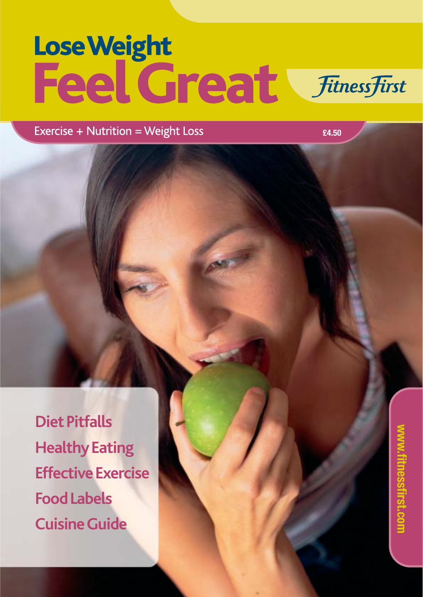# Lose Weight<br>Feel Great *FitnessFirst*

Exercise + Nutrition = Weight Loss

**£4.50**

**Diet Pitfalls Healthy Eating Effective Exercise Food Labels Cuisine Guide**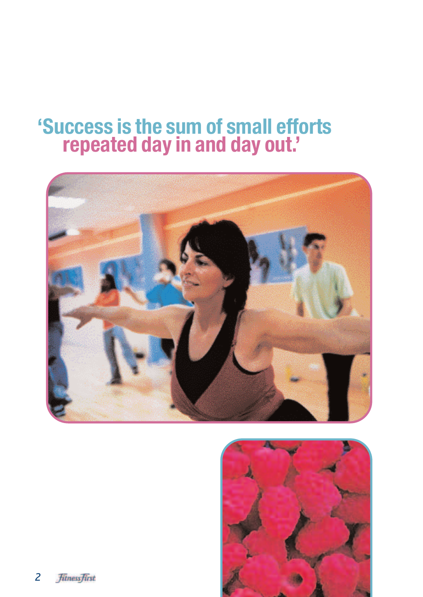### **'Success is the sum of small efforts repeated day in and day out.'**



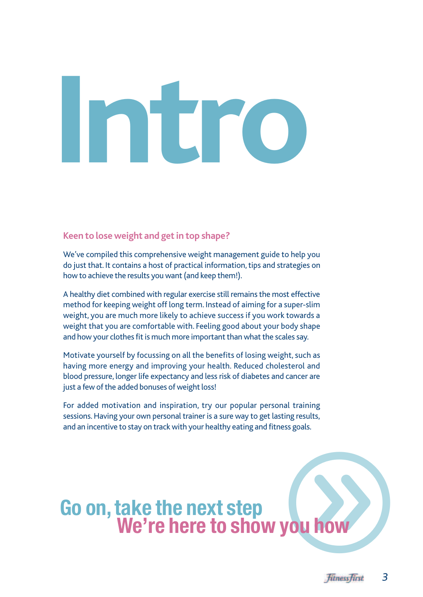# **Intro**

#### **Keen to lose weight and get in top shape?**

We've compiled this comprehensive weight management guide to help you do just that. It contains a host of practical information, tips and strategies on how to achieve the results you want (and keep them!).

A healthy diet combined with regular exercise still remains the most effective method for keeping weight off long term. Instead of aiming for a super-slim weight, you are much more likely to achieve success if you work towards a weight that you are comfortable with. Feeling good about your body shape and how your clothes fit is much more important than what the scales say.

Motivate yourself by focussing on all the benefits of losing weight, such as having more energy and improving your health. Reduced cholesterol and blood pressure, longer life expectancy and less risk of diabetes and cancer are just a few of the added bonuses of weight loss!

For added motivation and inspiration, try our popular personal training sessions.Having your own personal trainer is a sure way to get lasting results, and an incentive to stay on track with your healthy eating and fitness goals.

# **Go on, take the next step<br>We're here to show you how**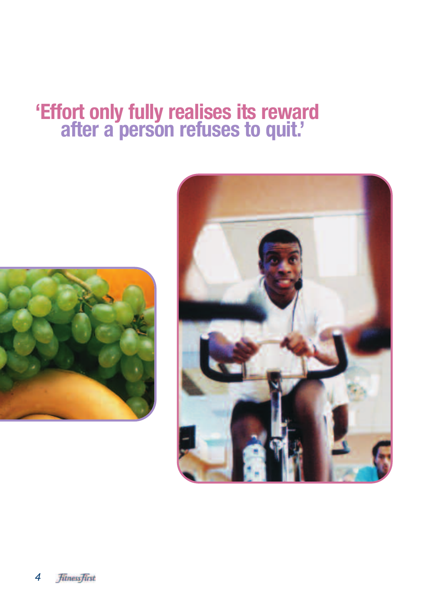### **'Effort only fully realises its reward after a person refuses to quit.'**



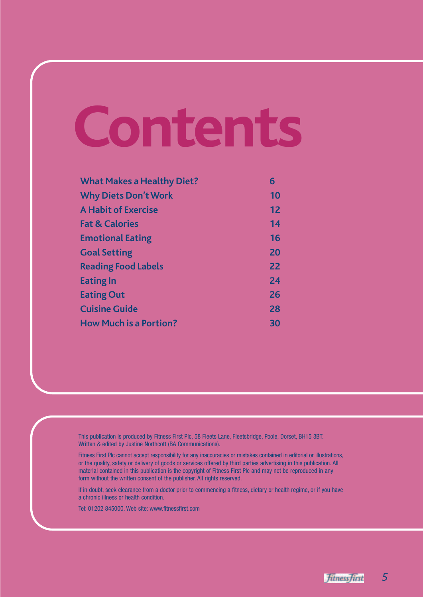# **Contents**

| <b>What Makes a Healthy Diet?</b> | 6  |
|-----------------------------------|----|
| <b>Why Diets Don't Work</b>       | 10 |
| <b>A Habit of Exercise</b>        | 12 |
| <b>Fat &amp; Calories</b>         | 14 |
| <b>Emotional Eating</b>           | 16 |
| <b>Goal Setting</b>               | 20 |
| <b>Reading Food Labels</b>        | 22 |
| <b>Eating In</b>                  | 24 |
| <b>Eating Out</b>                 | 26 |
| <b>Cuisine Guide</b>              | 28 |
| <b>How Much is a Portion?</b>     | 30 |

This publication is produced by Fitness First Plc, 58 Fleets Lane, Fleetsbridge, Poole, Dorset, BH15 3BT. Written & edited by Justine Northcott (BA Communications).

Fitness First Plc cannot accept responsibility for any inaccuracies or mistakes contained in editorial or illustrations, or the quality, safety or delivery of goods or services offered by third parties advertising in this publication. All material contained in this publication is the copyright of Fitness First Plc and may not be reproduced in any form without the written consent of the publisher. All rights reserved.

If in doubt, seek clearance from a doctor prior to commencing a fitness, dietary or health regime, or if you have a chronic illness or health condition.

Tel: 01202 845000. Web site: www.fitnessfirst.com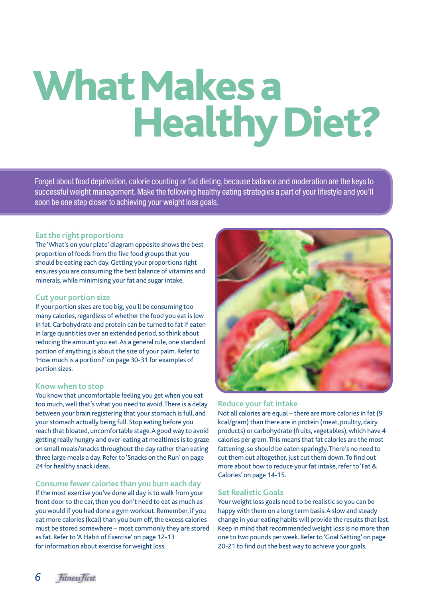### **What Makes a Healthy Diet?**

Forget about food deprivation, calorie counting or fad dieting, because balance and moderation are the keys to successful weight management. Make the following healthy eating strategies a part of your lifestyle and you'll soon be one step closer to achieving your weight loss goals.

#### **Eat the right proportions**

The 'What's on your plate' diagram opposite shows the best proportion of foods from the five food groups that you should be eating each day. Getting your proportions right ensures you are consuming the best balance of vitamins and minerals, while minimising your fat and sugar intake.

#### **Cut your portion size**

If your portion sizes are too big, you'll be consuming too many calories, regardless of whether the food you eat is low in fat. Carbohydrate and protein can be turned to fat if eaten in large quantities over an extended period, so think about reducing the amount you eat.As a general rule, one standard portion of anything is about the size of your palm. Refer to 'How much is a portion?' on page 30-31 for examples of portion sizes.

#### **Know when to stop**

You know that uncomfortable feeling you get when you eat too much, well that's what you need to avoid.There is a delay between your brain registering that your stomach is full, and your stomach actually being full. Stop eating before you reach that bloated, uncomfortable stage.A good way to avoid getting really hungry and over-eating at mealtimes is to graze on small meals/snacks throughout the day rather than eating three large meals a day. Refer to 'Snacks on the Run' on page 24 for healthy snack ideas.

#### **Consume fewer calories than you burn each day**

If the most exercise you've done all day is to walk from your front door to the car, then you don't need to eat as much as you would if you had done a gym workout. Remember, if you eat more calories (kcal) than you burn off, the excess calories must be stored somewhere – most commonly they are stored as fat. Refer to 'A Habit of Exercise' on page 12-13 for information about exercise for weight loss.



#### **Reduce your fat intake**

Not all calories are equal – there are more calories in fat (9 kcal/gram) than there are in protein (meat, poultry, dairy products) or carbohydrate (fruits, vegetables), which have 4 calories per gram.This means that fat calories are the most fattening, so should be eaten sparingly.There's no need to cut them out altogether, just cut them down.To find out more about how to reduce your fat intake, refer to 'Fat & Calories' on page 14-15.

#### **Set Realistic Goals**

Your weight loss goals need to be realistic so you can be happy with them on a long term basis.A slow and steady change in your eating habits will provide the results that last. Keep in mind that recommended weight loss is no more than one to two pounds per week. Refer to 'Goal Setting' on page 20-21 to find out the best way to achieve your goals.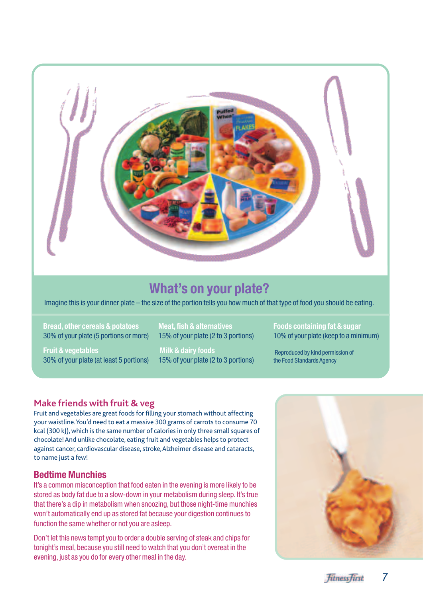

#### **What's on your plate?**

Imagine this is your dinner plate – the size of the portion tells you how much of that type of food you should be eating.

**Bread, other cereals & potatoes**  30% of your plate (5 portions or more)

**Fruit & vegetables**  30% of your plate (at least 5 portions)

**Meat, fish & alternatives**  15% of your plate (2 to 3 portions)

**Milk & dairy foods** 15% of your plate (2 to 3 portions)

**Foods containing fat & sugar**  10% of your plate (keep to a minimum)

Reproduced by kind permission of the Food Standards Agency

#### **Make friends with fruit & veg**

Fruit and vegetables are great foods for filling your stomach without affecting your waistline.You'd need to eat a massive 300 grams of carrots to consume 70 kcal (300 kJ), which is the same number of calories in only three small squares of chocolate! And unlike chocolate, eating fruit and vegetables helps to protect against cancer, cardiovascular disease, stroke,Alzheimer disease and cataracts, to name just a few!

#### **Bedtime Munchies**

It's a common misconception that food eaten in the evening is more likely to be stored as body fat due to a slow-down in your metabolism during sleep. It's true that there's a dip in metabolism when snoozing, but those night-time munchies won't automatically end up as stored fat because your digestion continues to function the same whether or not you are asleep.

Don't let this news tempt you to order a double serving of steak and chips for tonight's meal, because you still need to watch that you don't overeat in the evening, just as you do for every other meal in the day.

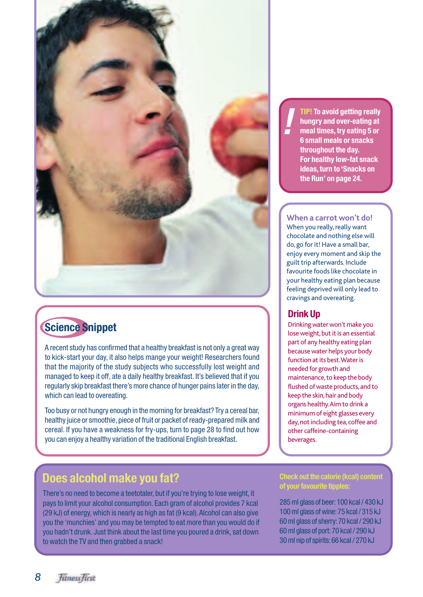

#### **Science Snippet**

A recent study has confirmed that a healthy breakfast is not only a great way to kick-start your day, it also helps mange your weight! Researchers found that the majority of the study subjects who successfully lost weight and managed to keep it off, ate a daily healthy breakfast. It's believed that if you regularly skip breakfast there's more chance of hunger pains later in the day, which can lead to overeating.

Too busy or not hungry enough in the morning for breakfast? Try a cereal bar, healthy juice or smoothie, piece of fruit or packet of ready-prepared milk and cereal. If you have a weakness for fry-ups, turn to page 28 to find out how you can enjoy a healthy variation of the traditional English breakfast.

#### **Does alcohol make you fat?**

There's no need to become a teetotaler, but if you're trying to lose weight, it pays to limit your alcohol consumption. Each gram of alcohol provides 7 kcal (29 kJ) of energy, which is nearly as high as fat (9 kcal).Alcohol can also give you the 'munchies' and you may be tempted to eat more than you would do if you hadn't drunk. Just think about the last time you poured a drink, sat down to watch the TV and then grabbed a snack!

**TIP! To avoid getting really hungry and over-eating at meal times, try eating 5 or 6 small meals or snacks throughout the day. For healthy low-fat snack ideas, turn to 'Snacks on the Run' on page 24.**

#### **When a carrot won't do!**

When you really, really want chocolate and nothing else will do, go for it! Have a small bar, enjoy every moment and skip the guilt trip afterwards. Include favourite foods like chocolate in your healthy eating plan because feeling deprived will only lead to cravings and overeating.

#### **Drink Up**

Drinking water won't make you lose weight, but it is an essential part of any healthy eating plan because water helps your body function at its best.Water is needed for growth and maintenance, to keep the body flushed of waste products, and to keep the skin, hair and body organs healthy.Aim to drink a minimum of eight glasses every day, not including tea, coffee and other caffeine-containing beverages.

#### **Check out the calorie (kcal) content of your favourite tipples:**

285 ml glass of beer:100 kcal / 430 kJ 100 ml glass of wine:75 kcal / 315 kJ 60 ml glass of sherry:70 kcal / 290 kJ 60 ml glass of port:70 kcal / 290 kJ 30 ml nip of spirits:66 kcal / 270 kJ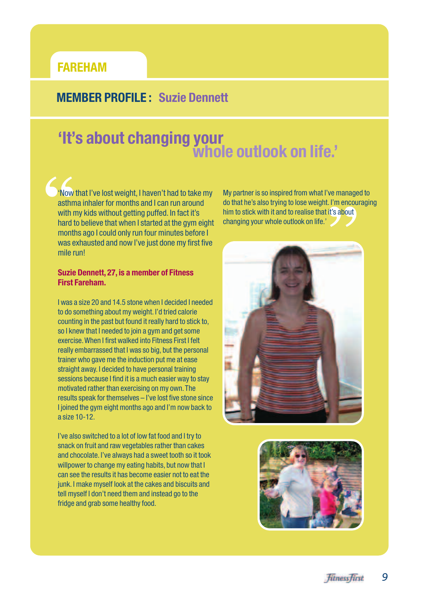#### **FAREHAM**

#### **MEMBER PROFILE : Suzie Dennett**

### **'It's about changing your whole outlook on life.'**

**Example 1**<br> **Example 1**<br> **EXAMPLE 18**<br> **CONFIDENT** 'Now that I've lost weight, I haven't had to take my asthma inhaler for months and I can run around with my kids without getting puffed. In fact it's hard to believe that when I started at the gym eight months ago I could only run four minutes before I was exhausted and now I've just done my first five mile run!

#### **Suzie Dennett, 27, is a member of Fitness First Fareham.**

I was a size 20 and 14.5 stone when I decided I needed to do something about my weight. I'd tried calorie counting in the past but found it really hard to stick to, so I knew that I needed to join a gym and get some exercise.When I first walked into Fitness First I felt really embarrassed that I was so big, but the personal trainer who gave me the induction put me at ease straight away. I decided to have personal training sessions because I find it is a much easier way to stay motivated rather than exercising on my own.The results speak for themselves – I've lost five stone since I joined the gym eight months ago and I'm now back to a size 10-12.

I've also switched to a lot of low fat food and I try to snack on fruit and raw vegetables rather than cakes and chocolate. I've always had a sweet tooth so it took willpower to change my eating habits, but now that I can see the results it has become easier not to eat the junk. I make myself look at the cakes and biscuits and tell myself I don't need them and instead go to the fridge and grab some healthy food.

My partner is so inspired from what I've managed to do that he's also trying to lose weight. I'm encouraging him to stick with it and to realise that it's about changing your whole outlook on life.'



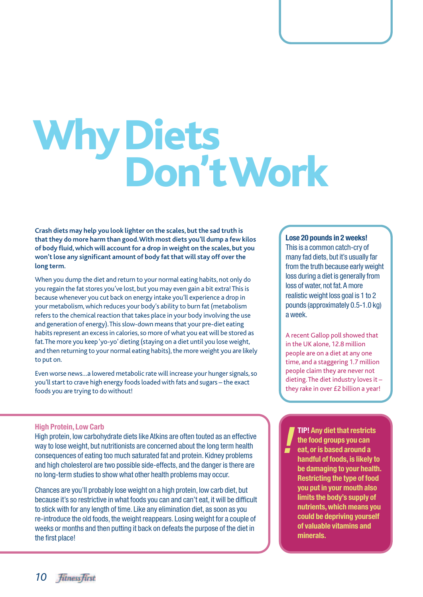# Why Diets<br>Don't Work

**Crash diets may help you look lighter on the scales, but the sad truth is that they do more harm than good.With most diets you'll dump a few kilos of body fluid, which will account for a drop in weight on the scales, but you won't lose any significant amount of body fat that will stay off over the long term.**

When you dump the diet and return to your normal eating habits, not only do you regain the fat stores you've lost, but you may even gain a bit extra! This is because whenever you cut back on energy intake you'll experience a drop in your metabolism,which reduces your body's ability to burn fat (metabolism refers to the chemical reaction that takes place in your body involving the use and generation of energy).This slow-down means that your pre-diet eating habits represent an excess in calories, so more of what you eat will be stored as fat.The more you keep 'yo-yo' dieting (staying on a diet until you lose weight, and then returning to your normal eating habits), the more weight you are likely to put on.

Even worse news…a lowered metabolic rate will increase your hunger signals, so you'll start to crave high energy foods loaded with fats and sugars – the exact foods you are trying to do without!

**High Protein, Low Carb**<br>High protein, low carbohydrate diets like Atkins are often touted as an effective<br>way to lose weight, but nutritionists are concerned about the long term health<br>consequences of eating too much satu High protein, low carbohydrate diets like Atkins are often touted as an effective way to lose weight, but nutritionists are concerned about the long term health consequences of eating too much saturated fat and protein. Kidney problems and high cholesterol are two possible side-effects, and the danger is there are no long-term studies to show what other health problems may occur.

Chances are you'll probably lose weight on a high protein, low carb diet, but because it's so restrictive in what foods you can and can't eat, it will be difficult to stick with for any length of time. Like any elimination diet, as soon as you re-introduce the old foods, the weight reappears. Losing weight for a couple of weeks or months and then putting it back on defeats the purpose of the diet in the first place!

#### **Lose 20 pounds in 2 weeks!**

This is a common catch-cry of many fad diets, but it's usually far from the truth because early weight loss during a diet is generally from loss of water, not fat.A more realistic weight loss goal is 1 to 2 pounds (approximately 0.5-1.0 kg) a week.

A recent Gallop poll showed that in the UK alone, 12.8 million people are on a diet at any one time, and a staggering 1.7 million people claim they are never not dieting.The diet industry loves it – they rake in over £2 billion a year!

**TIP! Any diet that restricts the food groups you can eat, or is based around a handful of foods, is likely to be damaging to your health. Restricting the type of food you put in your mouth also limits the body's supply of nutrients, which means you could be depriving yourself of valuable vitamins and minerals.**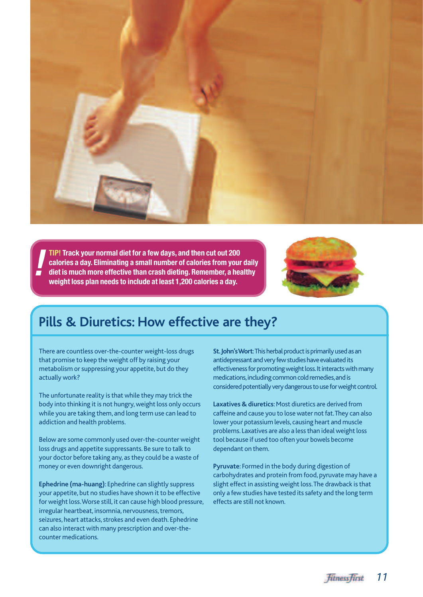

**TIP! Track your normal diet for a few days, and then cut out 200 calories a day. Eliminating a small number of calories from your daily diet is much more effective than crash dieting. Remember, a healthy weight loss plan needs to include at least 1,200 calories a day. !**



#### **Pills & Diuretics: How effective are they?**

There are countless over-the-counter weight-loss drugs that promise to keep the weight off by raising your metabolism or suppressing your appetite, but do they actually work?

The unfortunate reality is that while they may trick the body into thinking it is not hungry, weight loss only occurs while you are taking them, and long term use can lead to addiction and health problems.

Below are some commonly used over-the-counter weight loss drugs and appetite suppressants. Be sure to talk to your doctor before taking any, as they could be a waste of money or even downright dangerous.

**Ephedrine (ma-huang)**: Ephedrine can slightly suppress your appetite, but no studies have shown it to be effective for weight loss.Worse still, it can cause high blood pressure, irregular heartbeat, insomnia, nervousness, tremors, seizures, heart attacks, strokes and even death. Ephedrine can also interact with many prescription and over-thecounter medications.

**St. John's Wort:** This herbal product is primarily used as an antidepressant and very few studies have evaluated its effectiveness for promoting weight loss.It interacts with many medications,including common cold remedies,and is considered potentially very dangerous to use for weight control.

**Laxatives & diuretics**: Most diuretics are derived from caffeine and cause you to lose water not fat.They can also lower your potassium levels, causing heart and muscle problems. Laxatives are also a less than ideal weight loss tool because if used too often your bowels become dependant on them.

**Pyruvate**: Formed in the body during digestion of carbohydrates and protein from food, pyruvate may have a slight effect in assisting weight loss.The drawback is that only a few studies have tested its safety and the long term effects are still not known.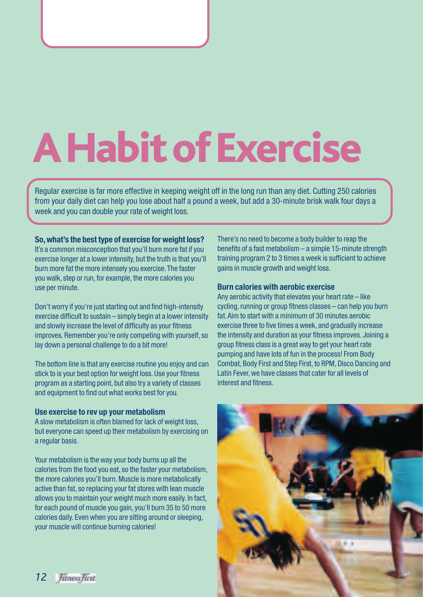## **A Habit of Exercise**

Regular exercise is far more effective in keeping weight off in the long run than any diet. Cutting 250 calories from your daily diet can help you lose about half a pound a week, but add a 30-minute brisk walk four days a week and you can double your rate of weight loss.

**So, what's the best type of exercise for weight loss?** It's a common misconception that you'll burn more fat if you exercise longer at a lower intensity, but the truth is that you'll burn more fat the more intensely you exercise.The faster you walk, step or run, for example, the more calories you use per minute.

Don't worry if you're just starting out and find high-intensity exercise difficult to sustain – simply begin at a lower intensity and slowly increase the level of difficulty as your fitness improves. Remember you're only competing with yourself, so lay down a personal challenge to do a bit more!

The bottom line is that any exercise routine you enjoy and can stick to is your best option for weight loss. Use your fitness program as a starting point, but also try a variety of classes and equipment to find out what works best for you.

#### **Use exercise to rev up your metabolism**

A slow metabolism is often blamed for lack of weight loss, but everyone can speed up their metabolism by exercising on a regular basis.

Your metabolism is the way your body burns up all the calories from the food you eat, so the faster your metabolism, the more calories you'll burn. Muscle is more metabolically active than fat, so replacing your fat stores with lean muscle allows you to maintain your weight much more easily. In fact, for each pound of muscle you gain, you'll burn 35 to 50 more calories daily. Even when you are sitting around or sleeping, your muscle will continue burning calories!

There's no need to become a body builder to reap the benefits of a fast metabolism – a simple 15-minute strength training program 2 to 3 times a week is sufficient to achieve gains in muscle growth and weight loss.

#### **Burn calories with aerobic exercise**

Any aerobic activity that elevates your heart rate – like cycling, running or group fitness classes - can help you burn fat.Aim to start with a minimum of 30 minutes aerobic exercise three to five times a week, and gradually increase the intensity and duration as your fitness improves. Joining a group fitness class is a great way to get your heart rate pumping and have lots of fun in the process! From Body Combat, Body First and Step First, to RPM, Disco Dancing and Latin Fever, we have classes that cater for all levels of interest and fitness.

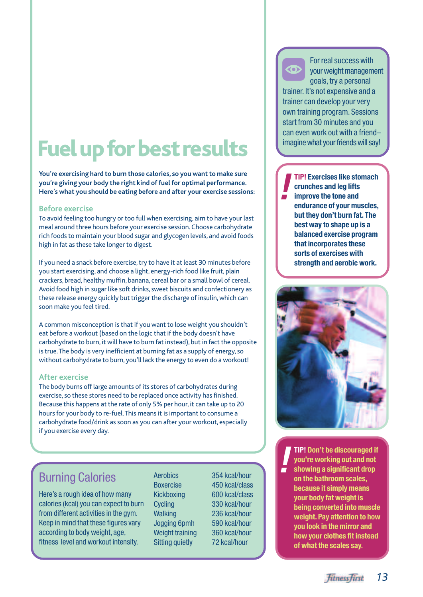### **Fuel up for best results**

**You're exercising hard to burn those calories, so you want to make sure you're giving your body the right kind of fuel for optimal performance. Here's what you should be eating before and after your exercise sessions:**

#### **Before exercise**

To avoid feeling too hungry or too full when exercising, aim to have your last meal around three hours before your exercise session. Choose carbohydrate rich foods to maintain your blood sugar and glycogen levels, and avoid foods high in fat as these take longer to digest.

If you need a snack before exercise, try to have it at least 30 minutes before you start exercising, and choose a light, energy-rich food like fruit, plain crackers, bread, healthy muffin, banana, cereal bar or a small bowl of cereal. Avoid food high in sugar like soft drinks, sweet biscuits and confectionery as these release energy quickly but trigger the discharge of insulin, which can soon make you feel tired.

A common misconception is that if you want to lose weight you shouldn't eat before a workout (based on the logic that if the body doesn't have carbohydrate to burn, it will have to burn fat instead), but in fact the opposite is true.The body is very inefficient at burning fat as a supply of energy, so without carbohydrate to burn, you'll lack the energy to even do a workout!

#### **After exercise**

The body burns off large amounts of its stores of carbohydrates during exercise, so these stores need to be replaced once activity has finished. Because this happens at the rate of only 5% per hour, it can take up to 20 hours for your body to re-fuel.This means it is important to consume a carbohydrate food/drink as soon as you can after your workout, especially if you exercise every day.

#### Burning Calories

Here's a rough idea of how many calories (kcal) you can expect to burn from different activities in the gym. Keep in mind that these figures vary according to body weight, age, fitness level and workout intensity.

Aerobics 354 kcal/hour Boxercise 450 kcal/class Kickboxing 600 kcal/class Cycling 330 kcal/hour Walking 236 kcal/hour Jogging 6pmh 590 kcal/hour Weight training 360 kcal/hour Sitting quietly 72 kcal/hour

For real success with your weight management goals, try a personal trainer. It's not expensive and a trainer can develop your very own training program. Sessions start from 30 minutes and you can even work out with a friend– imagine what your friends will say! **]**

**TIP! Exercises like stomach crunches and leg lifts improve the tone and endurance of your muscles, but they don't burn fat. The best way to shape up is a balanced exercise program that incorporates these sorts of exercises with strength and aerobic work. !**



**TIP! Don't be discouraged if you're working out and not showing a significant drop on the bathroom scales, because it simply means your body fat weight is being converted into muscle weight. Pay attention to how you look in the mirror and how your clothes fit instead of what the scales say. !**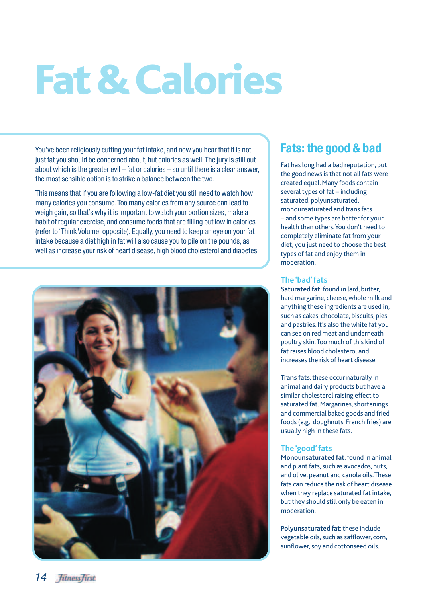### **Fat & Calories**

You've been religiously cutting your fat intake, and now you hear that it is not just fat you should be concerned about, but calories as well. The jury is still out about which is the greater evil – fat or calories – so until there is a clear answer, the most sensible option is to strike a balance between the two.

This means that if you are following a low-fat diet you still need to watch how many calories you consume.Too many calories from any source can lead to weigh gain, so that's why it is important to watch your portion sizes, make a habit of regular exercise, and consume foods that are filling but low in calories (refer to 'Think Volume' opposite). Equally, you need to keep an eye on your fat intake because a diet high in fat will also cause you to pile on the pounds, as well as increase your risk of heart disease, high blood cholesterol and diabetes.



#### **Fats: the good & bad**

Fat has long had a bad reputation, but the good news is that not all fats were created equal. Many foods contain several types of fat – including saturated, polyunsaturated, monounsaturated and trans fats – and some types are better for your health than others.You don't need to completely eliminate fat from your diet, you just need to choose the best types of fat and enjoy them in moderation.

#### **The 'bad' fats**

**Saturated fat:** found in lard, butter, hard margarine, cheese, whole milk and anything these ingredients are used in, such as cakes, chocolate, biscuits, pies and pastries. It's also the white fat you can see on red meat and underneath poultry skin.Too much of this kind of fat raises blood cholesterol and increases the risk of heart disease.

**Trans fats**: these occur naturally in animal and dairy products but have a similar cholesterol raising effect to saturated fat. Margarines, shortenings and commercial baked goods and fried foods (e.g., doughnuts, French fries) are usually high in these fats.

#### **The 'good' fats**

**Monounsaturated fat**: found in animal and plant fats, such as avocados, nuts, and olive, peanut and canola oils.These fats can reduce the risk of heart disease when they replace saturated fat intake, but they should still only be eaten in moderation.

**Polyunsaturated fat**: these include vegetable oils, such as safflower, corn, sunflower, soy and cottonseed oils.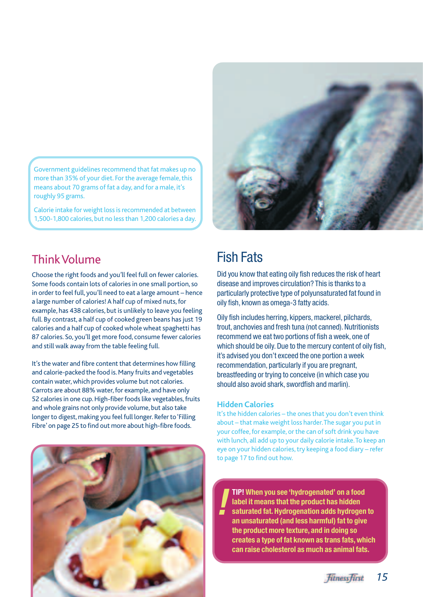Government guidelines recommend that fat makes up no more than 35% of your diet. For the average female, this means about 70 grams of fat a day, and for a male, it's roughly 95 grams.

Calorie intake for weight loss is recommended at between 1,500-1,800 calories, but no less than 1,200 calories a day.



#### Think Volume

Choose the right foods and you'll feel full on fewer calories. Some foods contain lots of calories in one small portion, so in order to feel full, you'll need to eat a large amount – hence a large number of calories! A half cup of mixed nuts, for example, has 438 calories, but is unlikely to leave you feeling full. By contrast, a half cup of cooked green beans has just 19 calories and a half cup of cooked whole wheat spaghetti has 87 calories. So, you'll get more food, consume fewer calories and still walk away from the table feeling full.

It's the water and fibre content that determines how filling and calorie-packed the food is. Many fruits and vegetables contain water, which provides volume but not calories. Carrots are about 88% water, for example, and have only 52 calories in one cup. High-fiber foods like vegetables, fruits and whole grains not only provide volume, but also take longer to digest, making you feel full longer. Refer to 'Filling Fibre'on page 25 to find out more about high-fibre foods.



#### Fish Fats

Did you know that eating oily fish reduces the risk of heart disease and improves circulation? This is thanks to a particularly protective type of polyunsaturated fat found in oily fish, known as omega-3 fatty acids.

Oily fish includes herring, kippers, mackerel, pilchards, trout, anchovies and fresh tuna (not canned). Nutritionists recommend we eat two portions of fish a week, one of which should be oily. Due to the mercury content of oily fish, it's advised you don't exceed the one portion a week recommendation, particularly if you are pregnant, breastfeeding or trying to conceive (in which case you should also avoid shark, swordfish and marlin).

#### **Hidden Calories**

It's the hidden calories – the ones that you don't even think about – that make weight loss harder.The sugar you put in your coffee, for example, or the can of soft drink you have with lunch, all add up to your daily calorie intake.To keep an eye on your hidden calories, try keeping a food diary – refer to page 17 to find out how.

**TIP! When you see 'hydrogenated' on a food label it means that the product has hidden saturated fat. Hydrogenation adds hydrogen to an unsaturated (and less harmful) fat to give the product more texture, and in doing so creates a type of fat known as trans fats, which can raise cholesterol as much as animal fats. !**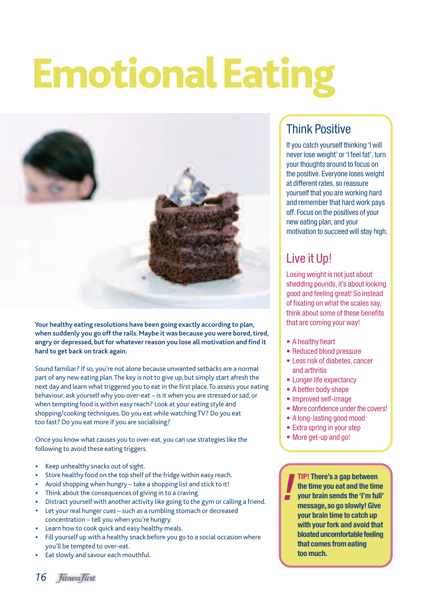### **Emotional Eating**



**Your healthy eating resolutions have been going exactly according to plan, when suddenly you go off the rails. Maybe it was because you were bored, tired, angry or depressed, but for whatever reason you lose all motivation and find it hard to get back on track again.**

Sound familiar? If so, you're not alone because unwanted setbacks are a normal part of any new eating plan.The key is not to give up, but simply start afresh the next day and learn what triggered you to eat in the first place.To assess your eating behaviour, ask yourself why you over-eat – is it when you are stressed or sad, or when tempting food is within easy reach? Look at your eating style and shopping/cooking techniques. Do you eat while watching TV? Do you eat too fast? Do you eat more if you are socialising?

Once you know what causes you to over-eat, you can use strategies like the **CO** • More get-up and go! following to avoid these eating triggers.

- Keep unhealthy snacks out of sight.
- Store healthy food on the top shelf of the fridge within easy reach.
- Avoid shopping when hungry take a shopping list and stick to it!
- Think about the consequences of giving in to a craving.
- Distract yourself with another activity like going to the gym or calling a friend.
- Let your real hunger cues such as a rumbling stomach or decreased concentration – tell you when you're hungry.
- Learn how to cook quick and easy healthy meals.
- Fill yourself up with a healthy snack before you go to a social occasion where you'll be tempted to over-eat.
- Eat slowly and savour each mouthful.

#### Think Positive

If you catch yourself thinking 'I will never lose weight' or 'I feel fat', turn your thoughts around to focus on the positive. Everyone loses weight at different rates, so reassure yourself that you are working hard and remember that hard work pays off. Focus on the positives of your new eating plan, and your motivation to succeed will stay high.

#### Live it Up!

Losing weight is not just about shedding pounds, it's about looking good and feeling great! So instead of fixating on what the scales say, think about some of these benefits that are coming your way!

- A healthy heart
- Reduced blood pressure
- Less risk of diabetes, cancer and arthritis
- Longer life expectancy
- A better body shape
- Improved self-image
- More confidence under the covers!
- A long-lasting good mood
- Extra spring in your step
- 

**TIP! There's a gap between the time you eat and the time your brain sends the 'I'm full' message, so go slowly! Give your brain time to catch up with your fork and avoid that bloated uncomfortable feeling that comes from eating too much. !**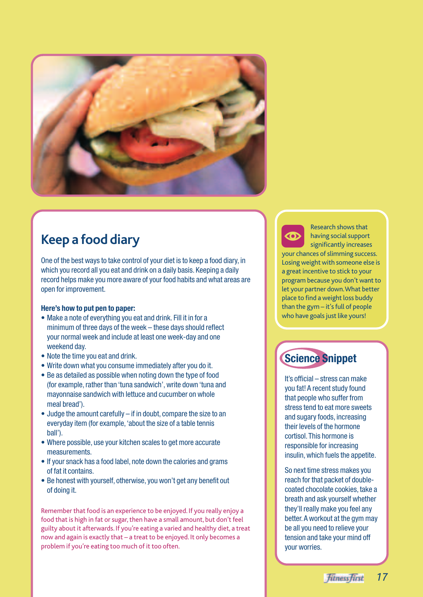

#### **Keep a food diary**

One of the best ways to take control of your diet is to keep a food diary, in which you record all you eat and drink on a daily basis. Keeping a daily record helps make you more aware of your food habits and what areas are open for improvement.

#### **Here's how to put pen to paper:**

- Make a note of everything you eat and drink. Fill it in for a minimum of three days of the week – these days should reflect your normal week and include at least one week-day and one weekend day.
- Note the time you eat and drink.
- Write down what you consume immediately after you do it.
- Be as detailed as possible when noting down the type of food (for example, rather than 'tuna sandwich', write down 'tuna and mayonnaise sandwich with lettuce and cucumber on whole meal bread').
- Judge the amount carefully if in doubt, compare the size to an everyday item (for example,'about the size of a table tennis ball').
- Where possible, use your kitchen scales to get more accurate measurements.
- If your snack has a food label, note down the calories and grams of fat it contains.
- Be honest with yourself, otherwise, you won't get any benefit out of doing it.

Remember that food is an experience to be enjoyed. If you really enjoy a food that is high in fat or sugar, then have a small amount, but don't feel guilty about it afterwards. If you're eating a varied and healthy diet, a treat now and again is exactly that – a treat to be enjoyed. It only becomes a problem if you're eating too much of it too often.

Research shows that having social support

significantly increases Research shows that<br> **Example 3**<br>
significantly increases<br>
your chances of slimming success. Losing weight with someone else is a great incentive to stick to your program because you don't want to let your partner down.What better place to find a weight loss buddy than the gym – it's full of people who have goals just like yours!

#### **Science Snippet**

It's official – stress can make you fat! A recent study found that people who suffer from stress tend to eat more sweets and sugary foods, increasing their levels of the hormone cortisol.This hormone is responsible for increasing insulin, which fuels the appetite.

So next time stress makes you reach for that packet of doublecoated chocolate cookies, take a breath and ask yourself whether they'll really make you feel any better.A workout at the gym may be all you need to relieve your tension and take your mind off your worries.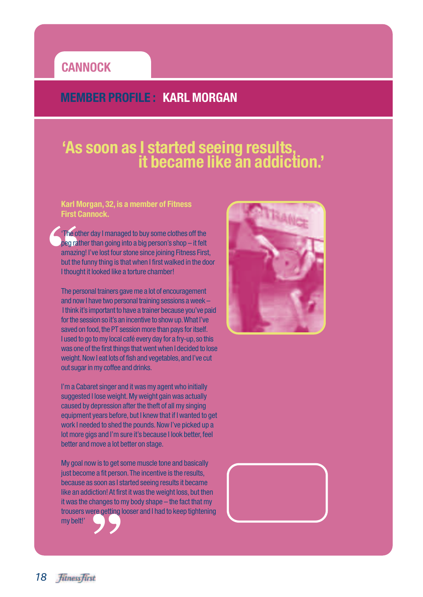#### **CANNOCK**

#### **MEMBER PROFILE : KARL MORGAN**

### **'As soon as I started seeing results, it became like an addiction.'**

#### **Karl Morgan, 32, is a member of Fitness First Cannock.**

The opegra<br>
amazi<br>
but the<br>
I thoug 'The other day I managed to buy some clothes off the peg rather than going into a big person's shop – it felt amazing! I've lost four stone since joining Fitness First, but the funny thing is that when I first walked in the door I thought it looked like a torture chamber!

The personal trainers gave me a lot of encouragement and now I have two personal training sessions a week – I think it's important to have a trainer because you've paid for the session so it's an incentive to show up.What I've saved on food, the PT session more than pays for itself. I used to go to my local café every day for a fry-up, so this was one of the first things that went when I decided to lose weight. Now I eat lots of fish and vegetables, and I've cut out sugar in my coffee and drinks.

I'm a Cabaret singer and it was my agent who initially suggested I lose weight. My weight gain was actually caused by depression after the theft of all my singing equipment years before, but I knew that if I wanted to get work I needed to shed the pounds. Now I've picked up a lot more gigs and I'm sure it's because I look better, feel better and move a lot better on stage.

**S** My goal now is to get some muscle tone and basically just become a fit person. The incentive is the results, because as soon as I started seeing results it became like an addiction! At first it was the weight loss, but then it was the changes to my body shape – the fact that my trousers were getting looser and I had to keep tightening my belt!'



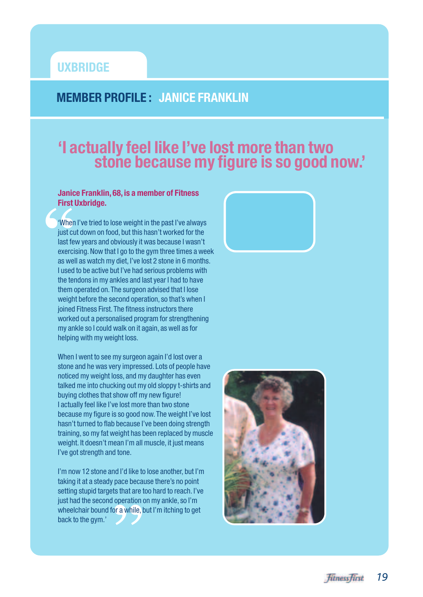#### **UXBRIDGE**

#### **MEMBER PROFILE : JANICE FRANKLIN**

### **'I actually feel like I've lost more than two stone because my figure is so good now.'**

#### **Janice Franklin, 68, is a member of Fitness First Uxbridge.**

Where<br> **Where**<br>
just cl<br>
last fe<br>
exerc<br>
as we 'When I've tried to lose weight in the past I've always just cut down on food, but this hasn't worked for the last few years and obviously it was because I wasn't exercising. Now that I go to the gym three times a week as well as watch my diet, I've lost 2 stone in 6 months. I used to be active but I've had serious problems with the tendons in my ankles and last year I had to have them operated on.The surgeon advised that I lose weight before the second operation, so that's when I joined Fitness First. The fitness instructors there worked out a personalised program for strengthening my ankle so I could walk on it again, as well as for helping with my weight loss.

When I went to see my surgeon again I'd lost over a stone and he was very impressed. Lots of people have noticed my weight loss, and my daughter has even talked me into chucking out my old sloppy t-shirts and buying clothes that show off my new figure! I actually feel like I've lost more than two stone because my figure is so good now.The weight I've lost hasn't turned to flab because I've been doing strength training, so my fat weight has been replaced by muscle weight. It doesn't mean I'm all muscle, it just means I've got strength and tone.

**Example:**<br> **Example:**<br> **Example:**<br> **Example:**<br> **Example:**<br> **Example:** I'm now 12 stone and I'd like to lose another, but I'm taking it at a steady pace because there's no point setting stupid targets that are too hard to reach. I've just had the second operation on my ankle, so I'm wheelchair bound for a while, but I'm itching to get back to the gym.'



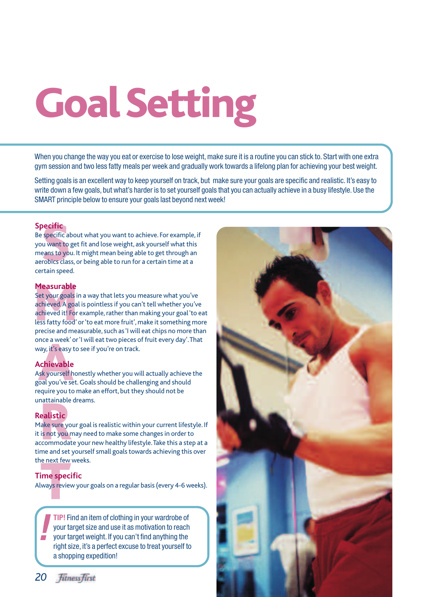## **Goal Setting**

When you change the way you eat or exercise to lose weight, make sure it is a routine you can stick to. Start with one extra gym session and two less fatty meals per week and gradually work towards a lifelong plan for achieving your best weight.

Setting goals is an excellent way to keep yourself on track, but make sure your goals are specific and realistic. It's easy to write down a few goals, but what's harder is to set yourself goals that you can actually achieve in a busy lifestyle. Use the SMART principle below to ensure your goals last beyond next week!

#### **Specific**

**Specific**<br>specific a<br>u want to<br>eans to yo<br>robics clas<br>rtain spee Be specific about what you want to achieve. For example, if you want to get fit and lose weight, ask yourself what this means to you. It might mean being able to get through an aerobics class, or being able to run for a certain time at a certain speed.

#### **Measurable**

**Measurable**<br>Set your goals i<br>achieved, A goa<br>achieved it! For<br>less fatty food'<br>precise and me Set your goals in a way that lets you measure what you've achieved.A goal is pointless if you can't tell whether you've achieved it! For example, rather than making your goal 'to eat less fatty food' or 'to eat more fruit', make it something more precise and measurable, such as 'I will eat chips no more than once a week' or 'I will eat two pieces of fruit every day'.That way, it's easy to see if you're on track.

#### **Achievable**

nce a week' (<br><sub>Vay,</sub> it's easy 1<br>**Achievable**<br>sk yourself h<br>joal you've se<br>equire you to Ask yourself honestly whether you will actually achieve the goal you've set. Goals should be challenging and should require you to make an effort, but they should not be unattainable dreams.

#### **Realistic**

nattainable<br>**ealistic**<br>lake sure yo<br>is not you r<br>ccommodat<br>me and set Make sure your goal is realistic within your current lifestyle. If it is not you may need to make some changes in order to accommodate your new healthy lifestyle.Take this a step at a time and set yourself small goals towards achieving this over the next few weeks.

### **The spect of the spect of the spect of the spect of the spectrum**<br> **The spect of the spectrum Time specific**

Always review your goals on a regular basis (every 4-6 weeks).

**TIP!** Find an item of clothing in your wardrobe of your target size and use it as motivation to reach your target weight. If you can't find anything the right size, it's a perfect excuse to treat yourself to a shopping expedition! **!**



*20* fitness first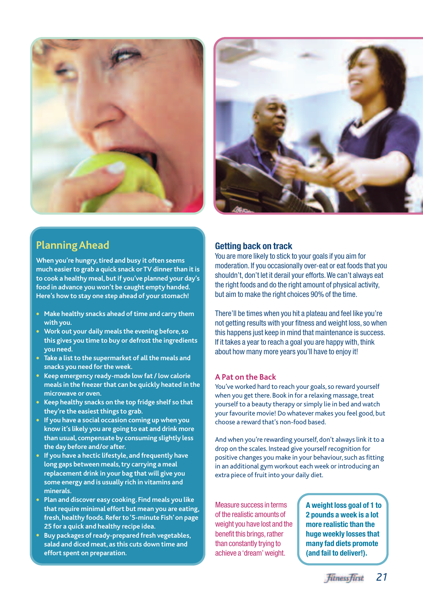



#### **Planning Ahead**

**When you're hungry, tired and busy it often seems much easier to grab a quick snack or TV dinner than it is to cook a healthy meal,but if you've planned your day's food in advance you won't be caught empty handed. Here's how to stay one step ahead of your stomach!**

- **• Make healthy snacks ahead of time and carry them with you.**
- **• Work out your daily meals the evening before, so this gives you time to buy or defrost the ingredients you need.**
- **• Take a list to the supermarket of all the meals and snacks you need for the week.**
- **• Keep emergency ready-made low fat / low calorie meals in the freezer that can be quickly heated in the microwave or oven.**
- **• Keep healthy snacks on the top fridge shelf so that they're the easiest things to grab.**
- **• If you have a social occasion coming up when you know it's likely you are going to eat and drink more than usual, compensate by consuming slightly less the day before and/or after.**
- **• If you have a hectic lifestyle, and frequently have long gaps between meals, try carrying a meal replacement drink in your bag that will give you some energy and is usually rich in vitamins and minerals.**
- **• Plan and discover easy cooking. Find meals you like that require minimal effort but mean you are eating, fresh,healthy foods.Refer to '5-minute Fish' on page 25 for a quick and healthy recipe idea.**
- **• Buy packages of ready-prepared fresh vegetables, salad and diced meat, as this cuts down time and effort spent on preparation.**

#### **Getting back on track**

You are more likely to stick to your goals if you aim for moderation. If you occasionally over-eat or eat foods that you shouldn't, don't let it derail your efforts.We can't always eat the right foods and do the right amount of physical activity, but aim to make the right choices 90% of the time.

There'll be times when you hit a plateau and feel like you're not getting results with your fitness and weight loss, so when this happens just keep in mind that maintenance is success. If it takes a year to reach a goal you are happy with, think about how many more years you'll have to enjoy it!

#### **A Pat on the Back**

You've worked hard to reach your goals, so reward yourself when you get there. Book in for a relaxing massage, treat yourself to a beauty therapy or simply lie in bed and watch your favourite movie! Do whatever makes you feel good, but choose a reward that's non-food based.

And when you're rewarding yourself, don't always link it to a drop on the scales. Instead give yourself recognition for positive changes you make in your behaviour, such as fitting in an additional gym workout each week or introducing an extra piece of fruit into your daily diet.

Measure success in terms of the realistic amounts of weight you have lost and the benefit this brings, rather than constantly trying to achieve a 'dream' weight.

**A weight loss goal of 1 to 2 pounds a week is a lot more realistic than the huge weekly losses that many fad diets promote (and fail to deliver!).**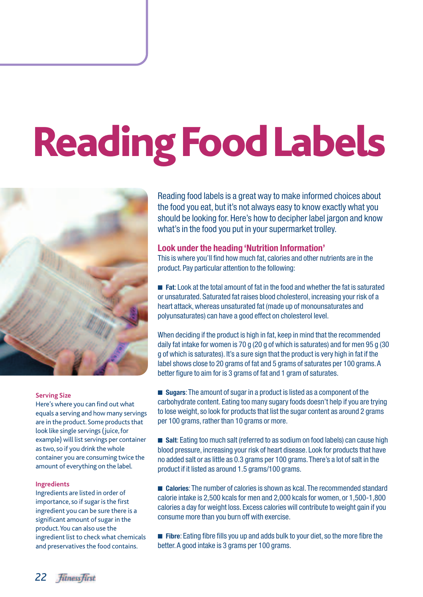# **Reading Food Labels**



#### **Serving Size**

Here's where you can find out what equals a serving and how many servings are in the product. Some products that look like single servings (juice, for example) will list servings per container as two, so if you drink the whole container you are consuming twice the amount of everything on the label.

#### **Ingredients**

Ingredients are listed in order of importance, so if sugar is the first ingredient you can be sure there is a significant amount of sugar in the product.You can also use the ingredient list to check what chemicals and preservatives the food contains.

Reading food labels is a great way to make informed choices about the food you eat, but it's not always easy to know exactly what you should be looking for. Here's how to decipher label jargon and know what's in the food you put in your supermarket trolley.

#### **Look under the heading 'Nutrition Information'**

This is where you'll find how much fat, calories and other nutrients are in the product. Pay particular attention to the following:

■ **Fat:** Look at the total amount of fat in the food and whether the fat is saturated or unsaturated. Saturated fat raises blood cholesterol, increasing your risk of a heart attack, whereas unsaturated fat (made up of monounsaturates and polyunsaturates) can have a good effect on cholesterol level.

When deciding if the product is high in fat, keep in mind that the recommended daily fat intake for women is 70 g (20 g of which is saturates) and for men 95 g (30 g of which is saturates). It's a sure sign that the product is very high in fat if the label shows close to 20 grams of fat and 5 grams of saturates per 100 grams.A better figure to aim for is 3 grams of fat and 1 gram of saturates.

■ **Sugars:** The amount of sugar in a product is listed as a component of the carbohydrate content. Eating too many sugary foods doesn't help if you are trying to lose weight, so look for products that list the sugar content as around 2 grams per 100 grams, rather than 10 grams or more.

■ Salt: Eating too much salt (referred to as sodium on food labels) can cause high blood pressure, increasing your risk of heart disease. Look for products that have no added salt or as little as 0.3 grams per 100 grams.There's a lot of salt in the product if it listed as around 1.5 grams/100 grams.

■ **Calories**: The number of calories is shown as kcal. The recommended standard calorie intake is 2,500 kcals for men and 2,000 kcals for women, or 1,500-1,800 calories a day for weight loss. Excess calories will contribute to weight gain if you consume more than you burn off with exercise.

■ **Fibre**: Eating fibre fills you up and adds bulk to your diet, so the more fibre the better.A good intake is 3 grams per 100 grams.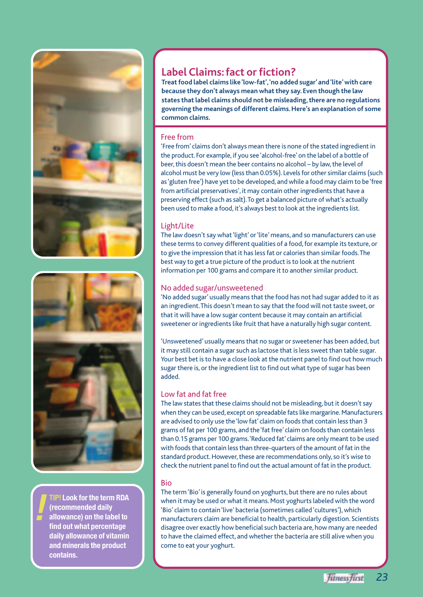



**TIP! Look for the term RDA (recommended daily allowance) on the label to find out what percentage daily allowance of vitamin and minerals the product contains.**

**!**

#### **Label Claims: fact or fiction?**

**Treat food label claims like 'low-fat','no added sugar' and 'lite' with care because they don't always mean what they say. Even though the law states that label claims should not be misleading, there are no regulations governing the meanings of different claims. Here's an explanation of some common claims.**

#### Free from

'Free from' claims don't always mean there is none of the stated ingredient in the product. For example, if you see 'alcohol-free' on the label of a bottle of beer, this doesn't mean the beer contains no alcohol – by law, the level of alcohol must be very low (less than 0.05%). Levels for other similar claims (such as 'gluten free') have yet to be developed, and while a food may claim to be 'free from artificial preservatives', it may contain other ingredients that have a preserving effect (such as salt).To get a balanced picture of what's actually been used to make a food, it's always best to look at the ingredients list.

#### Light/Lite

The law doesn't say what 'light' or 'lite' means, and so manufacturers can use these terms to convey different qualities of a food, for example its texture, or to give the impression that it has less fat or calories than similar foods.The best way to get a true picture of the product is to look at the nutrient information per 100 grams and compare it to another similar product.

#### No added sugar/unsweetened

'No added sugar' usually means that the food has not had sugar added to it as an ingredient.This doesn't mean to say that the food will not taste sweet, or that it will have a low sugar content because it may contain an artificial sweetener or ingredients like fruit that have a naturally high sugar content.

'Unsweetened' usually means that no sugar or sweetener has been added, but it may still contain a sugar such as lactose that is less sweet than table sugar. Your best bet is to have a close look at the nutrient panel to find out how much sugar there is, or the ingredient list to find out what type of sugar has been added.

#### Low fat and fat free

The law states that these claims should not be misleading, but it doesn't say when they can be used, except on spreadable fats like margarine. Manufacturers are advised to only use the 'low fat' claim on foods that contain less than 3 grams of fat per 100 grams, and the 'fat free' claim on foods than contain less than 0.15 grams per 100 grams.'Reduced fat' claims are only meant to be used with foods that contain less than three-quarters of the amount of fat in the standard product. However, these are recommendations only, so it's wise to check the nutrient panel to find out the actual amount of fat in the product.

#### Bio

The term 'Bio' is generally found on yoghurts, but there are no rules about when it may be used or what it means. Most yoghurts labeled with the word 'Bio' claim to contain 'live' bacteria (sometimes called 'cultures'), which manufacturers claim are beneficial to health, particularly digestion. Scientists disagree over exactly how beneficial such bacteria are, how many are needed to have the claimed effect, and whether the bacteria are still alive when you come to eat your yoghurt.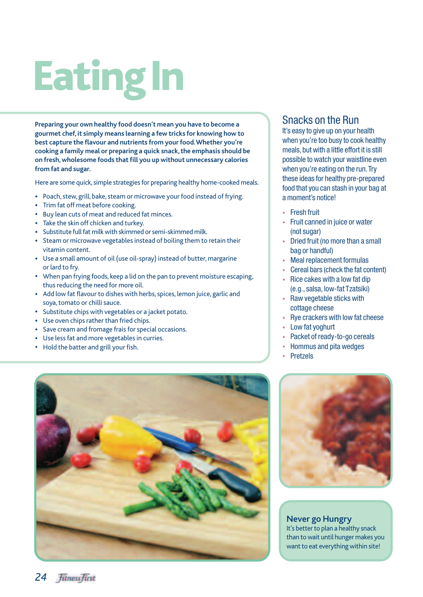## **Eating In**

**Preparing your own healthy food doesn't mean you have to become a gourmet chef, it simply means learning a few tricks for knowing how to best capture the flavour and nutrients from your food.Whether you're cooking a family meal or preparing a quick snack, the emphasis should be on fresh, wholesome foods that fill you up without unnecessary calories from fat and sugar.**

Here are some quick, simple strategies for preparing healthy home-cooked meals.

- Poach, stew, grill, bake, steam or microwave your food instead of frying.
- Trim fat off meat before cooking.
- Buy lean cuts of meat and reduced fat minces.
- Take the skin off chicken and turkey.
- Substitute full fat milk with skimmed or semi-skimmed milk.
- Steam or microwave vegetables instead of boiling them to retain their vitamin content.
- Use a small amount of oil (use oil-spray) instead of butter, margarine or lard to fry.
- When pan frying foods, keep a lid on the pan to prevent moisture escaping, thus reducing the need for more oil.
- Add low fat flavour to dishes with herbs, spices, lemon juice, garlic and soya, tomato or chilli sauce.
- Substitute chips with vegetables or a jacket potato.
- Use oven chips rather than fried chips.
- Save cream and fromage frais for special occasions.
- Use less fat and more vegetables in curries.
- Hold the batter and grill your fish.

#### Snacks on the Run

It's easy to give up on your health when you're too busy to cook healthy meals, but with a little effort it is still possible to watch your waistline even when you're eating on the run. Try these ideas for healthy pre-prepared food that you can stash in your bag at a moment's notice!

- Fresh fruit
- Fruit canned in juice or water (not sugar)
- Dried fruit (no more than a small bag or handful)
- Meal replacement formulas
- Cereal bars (check the fat content)
- Rice cakes with a low fat dip (e.g., salsa, low-fat Tzatsiki)
- Raw vegetable sticks with cottage cheese
- Rye crackers with low fat cheese
- Low fat yoghurt
- Packet of ready-to-go cereals
- Hommus and pita wedges
- **Pretzels**





**Never go Hungry** It's better to plan a healthy snack than to wait until hunger makes you want to eat everything within site!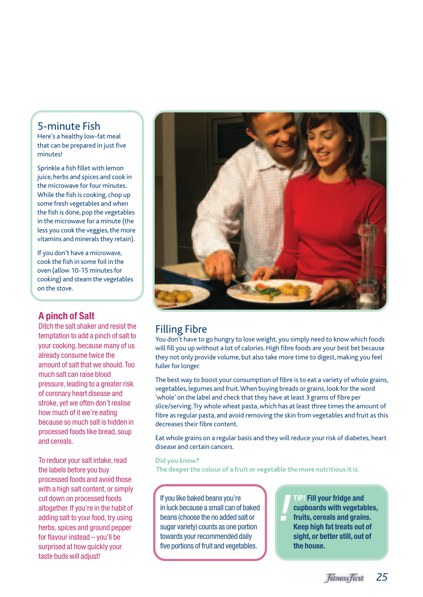#### 5-minute Fish

Here's a healthy low-fat meal that can be prepared in just five minutes!

Sprinkle a fish fillet with lemon juice, herbs and spices and cook in the microwave for four minutes. While the fish is cooking, chop up some fresh vegetables and when the fish is done, pop the vegetables in the microwave for a minute (the less you cook the veggies, the more vitamins and minerals they retain).

If you don't have a microwave, cook the fish in some foil in the oven (allow 10-15 minutes for cooking) and steam the vegetables on the stove.

#### **A pinch of Salt**

Ditch the salt shaker and resist the temptation to add a pinch of salt to your cooking, because many of us already consume twice the amount of salt that we should.Too much salt can raise blood pressure, leading to a greater risk of coronary heart disease and stroke, yet we often don't realise how much of it we're eating because so much salt is hidden in processed foods like bread, soup and cereals.

To reduce your salt intake, read the labels before you buy processed foods and avoid those with a high salt content, or simply cut down on processed foods altogether. If you're in the habit of adding salt to your food, try using herbs, spices and ground pepper for flavour instead – you'll be surprised at how quickly your taste buds will adjust!



#### Filling Fibre

You don't have to go hungry to lose weight, you simply need to know which foods will fill you up without a lot of calories. High fibre foods are your best bet because they not only provide volume, but also take more time to digest, making you feel fuller for longer.

The best way to boost your consumption of fibre is to eat a variety of whole grains, vegetables, legumes and fruit.When buying breads or grains, look for the word 'whole' on the label and check that they have at least 3 grams of fibre per slice/serving.Try whole wheat pasta, which has at least three times the amount of fibre as regular pasta, and avoid removing the skin from vegetables and fruit as this decreases their fibre content.

Eat whole grains on a regular basis and they will reduce your risk of diabetes, heart disease and certain cancers.

#### **Did you know?**

**The deeper the colour of a fruit or vegetable the more nutritious it is.**

**If you like baked beans you're<br>
in luck because a small can of baked<br>
beans (choose the no added salt or<br>
sugar variety) counts as one portion** in luck because a small can of baked beans (choose the no added salt or sugar variety) counts as one portion towards your recommended daily five portions of fruit and vegetables.

**TIP! Fill your fridge and cupboards with vegetables, fruits, cereals and grains. Keep high fat treats out of sight, or better still, out of the house.**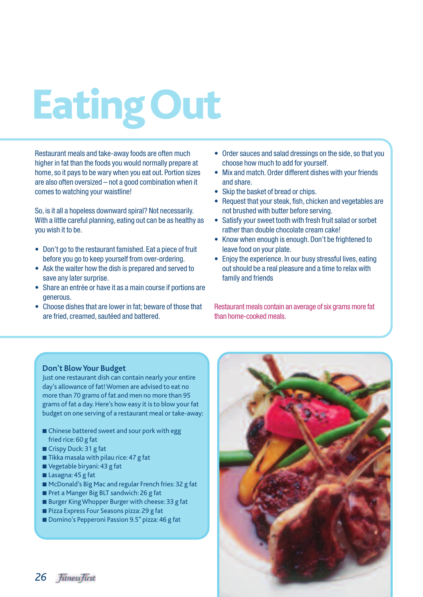## **Eating Out**

Restaurant meals and take-away foods are often much higher in fat than the foods you would normally prepare at home, so it pays to be wary when you eat out. Portion sizes are also often oversized – not a good combination when it comes to watching your waistline!

So, is it all a hopeless downward spiral? Not necessarily. With a little careful planning, eating out can be as healthy as you wish it to be.

- Don't go to the restaurant famished. Eat a piece of fruit before you go to keep yourself from over-ordering.
- Ask the waiter how the dish is prepared and served to save any later surprise.
- Share an entrée or have it as a main course if portions are generous.
- Choose dishes that are lower in fat; beware of those that are fried, creamed, sautéed and battered.
- Order sauces and salad dressings on the side, so that you choose how much to add for yourself.
- Mix and match. Order different dishes with your friends and share.
- Skip the basket of bread or chips.
- Request that your steak, fish, chicken and vegetables are not brushed with butter before serving.
- Satisfy your sweet tooth with fresh fruit salad or sorbet rather than double chocolate cream cake!
- Know when enough is enough. Don't be frightened to leave food on your plate.
- Enjoy the experience. In our busy stressful lives, eating out should be a real pleasure and a time to relax with family and friends

Restaurant meals contain an average of six grams more fat than home-cooked meals.

#### **Don't Blow Your Budget**

Just one restaurant dish can contain nearly your entire day's allowance of fat! Women are advised to eat no more than 70 grams of fat and men no more than 95 grams of fat a day. Here's how easy it is to blow your fat budget on one serving of a restaurant meal or take-away:

- Chinese battered sweet and sour pork with egg fried rice: 60 g fat
- Crispy Duck: 31 g fat
- Tikka masala with pilau rice: 47 g fat
- Vegetable biryani: 43 g fat
- Lasagna: 45 g fat
- McDonald's Big Mac and regular French fries: 32 g fat
- Pret a Manger Big BLT sandwich: 26 g fat
- Burger King Whopper Burger with cheese: 33 g fat
- Pizza Express Four Seasons pizza: 29 g fat
- Domino's Pepperoni Passion 9.5" pizza: 46 g fat



26 *fitness first*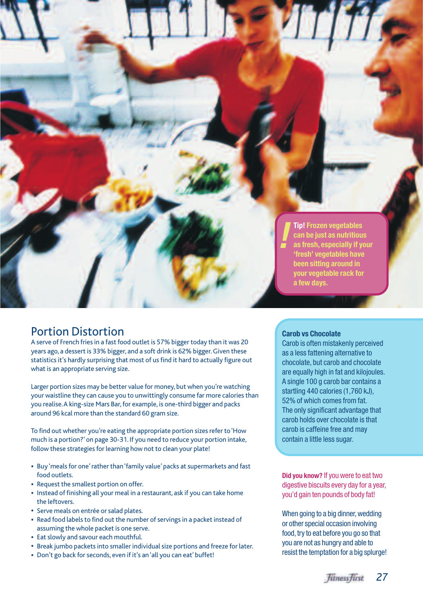

#### Portion Distortion

A serve of French fries in a fast food outlet is 57% bigger today than it was 20 years ago, a dessert is 33% bigger, and a soft drink is 62% bigger. Given these statistics it's hardly surprising that most of us find it hard to actually figure out what is an appropriate serving size.

Larger portion sizes may be better value for money, but when you're watching your waistline they can cause you to unwittingly consume far more calories than you realise.A king-size Mars Bar, for example, is one-third bigger and packs around 96 kcal more than the standard 60 gram size.

To find out whether you're eating the appropriate portion sizes refer to 'How much is a portion?' on page 30-31. If you need to reduce your portion intake, follow these strategies for learning how not to clean your plate!

- Buy 'meals for one' rather than 'family value' packs at supermarkets and fast food outlets.
- Request the smallest portion on offer.
- Instead of finishing all your meal in a restaurant, ask if you can take home the leftovers.
- Serve meals on entrée or salad plates.
- Read food labels to find out the number of servings in a packet instead of assuming the whole packet is one serve.
- Eat slowly and savour each mouthful.
- Break jumbo packets into smaller individual size portions and freeze for later.
- Don't go back for seconds, even if it's an 'all you can eat' buffet!

#### **Carob vs Chocolate**

Carob is often mistakenly perceived as a less fattening alternative to chocolate, but carob and chocolate are equally high in fat and kilojoules. A single 100 g carob bar contains a startling 440 calories (1,760 kJ), 52% of which comes from fat. The only significant advantage that carob holds over chocolate is that carob is caffeine free and may contain a little less sugar.

**Did you know?** If you were to eat two digestive biscuits every day for a year, you'd gain ten pounds of body fat!

When going to a big dinner, wedding or other special occasion involving food, try to eat before you go so that you are not as hungry and able to resist the temptation for a big splurge!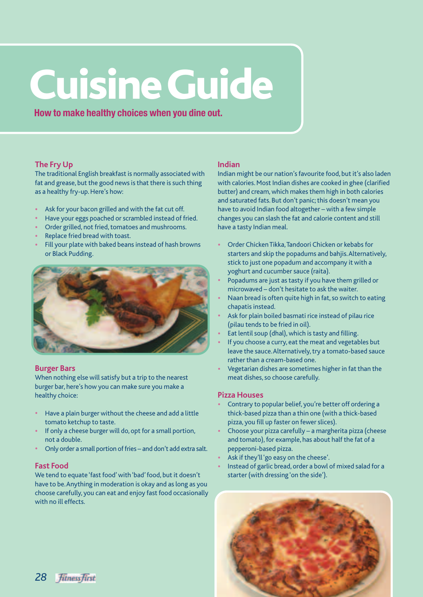### **Cuisine Guide**

**How to make healthy choices when you dine out.**

#### **The Fry Up**

The traditional English breakfast is normally associated with fat and grease, but the good news is that there is such thing as a healthy fry-up. Here's how:

- Ask for your bacon grilled and with the fat cut off.
- Have your eggs poached or scrambled instead of fried.
- Order grilled, not fried, tomatoes and mushrooms.
- Replace fried bread with toast.
- Fill your plate with baked beans instead of hash browns or Black Pudding.



#### **Burger Bars**

When nothing else will satisfy but a trip to the nearest burger bar, here's how you can make sure you make a healthy choice:

- Have a plain burger without the cheese and add a little tomato ketchup to taste.
- If only a cheese burger will do, opt for a small portion, not a double.
- Only order a small portion of fries and don't add extra salt.

#### **Fast Food**

We tend to equate 'fast food' with 'bad' food, but it doesn't have to be.Anything in moderation is okay and as long as you choose carefully, you can eat and enjoy fast food occasionally with no ill effects.

#### **Indian**

Indian might be our nation's favourite food, but it's also laden with calories. Most Indian dishes are cooked in ghee (clarified butter) and cream, which makes them high in both calories and saturated fats. But don't panic; this doesn't mean you have to avoid Indian food altogether – with a few simple changes you can slash the fat and calorie content and still have a tasty Indian meal.

- Order Chicken Tikka,Tandoori Chicken or kebabs for starters and skip the popadums and bahjis.Alternatively, stick to just one popadum and accompany it with a yoghurt and cucumber sauce (raita).
- Popadums are just as tasty if you have them grilled or microwaved – don't hesitate to ask the waiter.
- Naan bread is often quite high in fat, so switch to eating chapatis instead.
- Ask for plain boiled basmati rice instead of pilau rice (pilau tends to be fried in oil).
- Eat lentil soup (dhal), which is tasty and filling.
- If you choose a curry, eat the meat and vegetables but leave the sauce.Alternatively, try a tomato-based sauce rather than a cream-based one.
- Vegetarian dishes are sometimes higher in fat than the meat dishes, so choose carefully.

#### **Pizza Houses**

- Contrary to popular belief, you're better off ordering a thick-based pizza than a thin one (with a thick-based pizza, you fill up faster on fewer slices).
- Choose your pizza carefully a margherita pizza (cheese and tomato), for example, has about half the fat of a pepperoni-based pizza.
- Ask if they'll 'go easy on the cheese'.
- Instead of garlic bread, order a bowl of mixed salad for a starter (with dressing 'on the side').



28 *fitness first*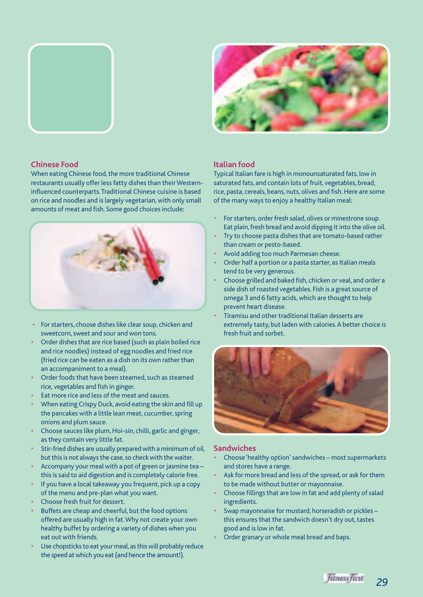



#### **Chinese Food**

When eating Chinese food, the more traditional Chinese restaurants usually offer less fatty dishes than their Westerninfluenced counterparts.Traditional Chinese cuisine is based on rice and noodles and is largely vegetarian, with only small amounts of meat and fish. Some good choices include:



- For starters, choose dishes like clear soup, chicken and sweetcorn, sweet and sour and won tons.
- Order dishes that are rice based (such as plain boiled rice and rice noodles) instead of egg noodles and fried rice (fried rice can be eaten as a dish on its own rather than an accompaniment to a meal).
- Order foods that have been steamed, such as steamed rice, vegetables and fish in ginger.
- Eat more rice and less of the meat and sauces.
- When eating Crispy Duck, avoid eating the skin and fill up the pancakes with a little lean meat, cucumber, spring onions and plum sauce.
- Choose sauces like plum, Hoi-sin, chilli, garlic and ginger, as they contain very little fat.
- Stir-fried dishes are usually prepared with a minimum of oil, but this is not always the case, so check with the waiter.
- Accompany your meal with a pot of green or jasmine tea this is said to aid digestion and is completely calorie free.
- If you have a local takeaway you frequent, pick up a copy of the menu and pre-plan what you want.
- Choose fresh fruit for dessert.
- Buffets are cheap and cheerful, but the food options offered are usually high in fat.Why not create your own healthy buffet by ordering a variety of dishes when you eat out with friends.
- Use chopsticks to eat your meal, as this will probably reduce the speed at which you eat (and hence the amount!).

#### **Italian food**

Typical Italian fare is high in monounsaturated fats, low in saturated fats, and contain lots of fruit, vegetables, bread, rice, pasta, cereals, beans, nuts, olives and fish. Here are some of the many ways to enjoy a healthy Italian meal:

- For starters, order fresh salad, olives or minestrone soup. Eat plain, fresh bread and avoid dipping it into the olive oil.
- Try to choose pasta dishes that are tomato-based rather than cream or pesto-based.
- Avoid adding too much Parmesan cheese.
- Order half a portion or a pasta starter, as Italian meals tend to be very generous.
- Choose grilled and baked fish, chicken or veal, and order a side dish of roasted vegetables. Fish is a great source of omega 3 and 6 fatty acids, which are thought to help prevent heart disease.
- Tiramisu and other traditional Italian desserts are extremely tasty, but laden with calories.A better choice is fresh fruit and sorbet.



#### **Sandwiches**

- Choose 'healthy option' sandwiches most supermarkets and stores have a range.
- Ask for more bread and less of the spread, or ask for them to be made without butter or mayonnaise.
- Choose fillings that are low in fat and add plenty of salad ingredients.
- Swap mayonnaise for mustard, horseradish or pickles this ensures that the sandwich doesn't dry out, tastes good and is low in fat.
- Order granary or whole meal bread and baps.

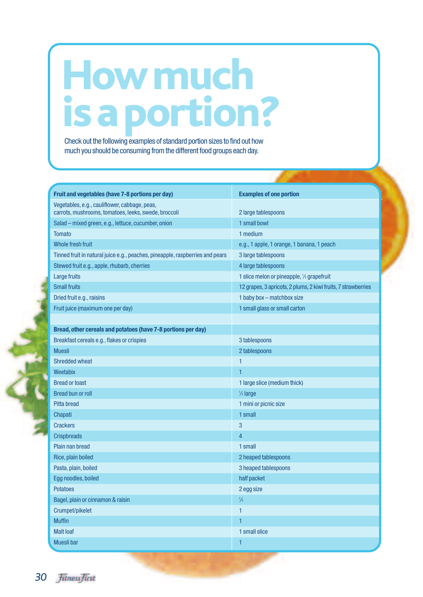### **How much is a portion?**

Check out the following examples of standard portion sizes to find out how much you should be consuming from the different food groups each day.

| Fruit and vegetables (have 7-8 portions per day)                              | <b>Examples of one portion</b>                                |
|-------------------------------------------------------------------------------|---------------------------------------------------------------|
| Vegetables, e.g., cauliflower, cabbage, peas,                                 |                                                               |
| carrots, mushrooms, tomatoes, leeks, swede, broccoli                          | 2 large tablespoons                                           |
| Salad - mixed green, e.g., lettuce, cucumber, onion                           | 1 small bowl                                                  |
| <b>Tomato</b>                                                                 | 1 medium                                                      |
| <b>Whole fresh fruit</b>                                                      | e.g., 1 apple, 1 orange, 1 banana, 1 peach                    |
| Tinned fruit in natural juice e.g., peaches, pineapple, raspberries and pears | 3 large tablespoons                                           |
| Stewed fruit e.g., apple, rhubarb, cherries                                   | 4 large tablespoons                                           |
| <b>Large fruits</b>                                                           | 1 slice melon or pineapple, 1/2 grapefruit                    |
| <b>Small fruits</b>                                                           | 12 grapes, 3 apricots, 2 plums, 2 kiwi fruits, 7 strawberries |
| Dried fruit e.g., raisins                                                     | 1 baby box - matchbox size                                    |
| Fruit juice (maximum one per day)                                             | 1 small glass or small carton                                 |
|                                                                               |                                                               |
| Bread, other cereals and potatoes (have 7-8 portions per day)                 |                                                               |
| Breakfast cereals e.g., flakes or crispies                                    | 3 tablespoons                                                 |
| <b>Muesli</b>                                                                 | 2 tablespoons                                                 |
| <b>Shredded wheat</b>                                                         | 1                                                             |
| Weetabix                                                                      | 1                                                             |
| <b>Bread or toast</b>                                                         | 1 large slice (medium thick)                                  |
| <b>Bread bun or roll</b>                                                      | $\frac{1}{2}$ large                                           |
| <b>Pitta bread</b>                                                            | 1 mini or picnic size                                         |
| Chapati                                                                       | 1 small                                                       |
| <b>Crackers</b>                                                               | 3                                                             |
| <b>Crispbreads</b>                                                            | 4                                                             |
| Plain nan bread                                                               | 1 small                                                       |
| Rice, plain boiled                                                            | 2 heaped tablespoons                                          |
| Pasta, plain, boiled                                                          | 3 heaped tablespoons                                          |
| Egg noodles, boiled                                                           | half packet                                                   |
| <b>Potatoes</b>                                                               | 2 egg size                                                    |
| Bagel, plain or cinnamon & raisin                                             | $\frac{1}{2}$                                                 |
| Crumpet/pikelet                                                               | $\mathbf{1}$                                                  |
| <b>Muffin</b>                                                                 | 1                                                             |
| <b>Malt loaf</b>                                                              | 1 small slice                                                 |
| Muesli bar                                                                    | 1                                                             |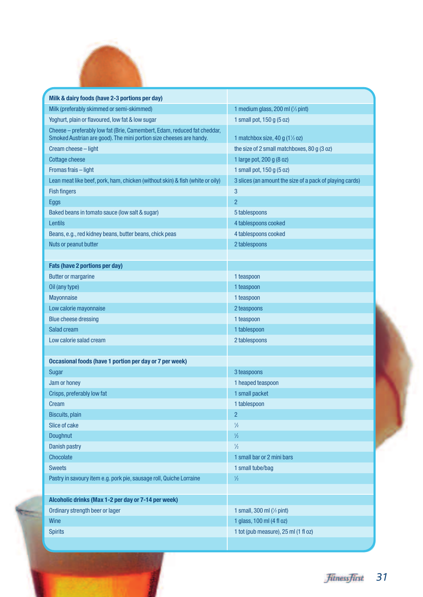

۰

| Milk & dairy foods (have 2-3 portions per day)                                                                                                  |                                                          |
|-------------------------------------------------------------------------------------------------------------------------------------------------|----------------------------------------------------------|
| Milk (preferably skimmed or semi-skimmed)                                                                                                       | 1 medium glass, 200 ml (1/3 pint)                        |
| Yoghurt, plain or flavoured, low fat & low sugar                                                                                                | 1 small pot, 150 g (5 oz)                                |
| Cheese - preferably low fat (Brie, Camembert, Edam, reduced fat cheddar,<br>Smoked Austrian are good). The mini portion size cheeses are handy. | 1 matchbox size, 40 g $(1\frac{1}{2}$ oz)                |
| Cream cheese - light                                                                                                                            | the size of 2 small matchboxes, 80 g (3 oz)              |
| <b>Cottage cheese</b>                                                                                                                           | 1 large pot, 200 g (8 oz)                                |
| Fromas frais - light                                                                                                                            | 1 small pot, 150 g (5 oz)                                |
| Lean meat like beef, pork, ham, chicken (without skin) & fish (white or oily)                                                                   | 3 slices (an amount the size of a pack of playing cards) |
| <b>Fish fingers</b>                                                                                                                             | 3                                                        |
| <b>Eggs</b>                                                                                                                                     | $\overline{2}$                                           |
| Baked beans in tomato sauce (low salt & sugar)                                                                                                  | 5 tablespoons                                            |
| Lentils                                                                                                                                         | 4 tablespoons cooked                                     |
| Beans, e.g., red kidney beans, butter beans, chick peas                                                                                         | 4 tablespoons cooked                                     |
| Nuts or peanut butter                                                                                                                           | 2 tablespoons                                            |
|                                                                                                                                                 |                                                          |
| <b>Fats (have 2 portions per day)</b>                                                                                                           |                                                          |
| <b>Butter or margarine</b>                                                                                                                      | 1 teaspoon                                               |
| Oil (any type)                                                                                                                                  | 1 teaspoon                                               |
| <b>Mayonnaise</b>                                                                                                                               | 1 teaspoon                                               |
| Low calorie mayonnaise                                                                                                                          | 2 teaspoons                                              |
| <b>Blue cheese dressing</b>                                                                                                                     | 1 teaspoon                                               |
| Salad cream                                                                                                                                     | 1 tablespoon                                             |
| Low calorie salad cream                                                                                                                         | 2 tablespoons                                            |
|                                                                                                                                                 |                                                          |
| Occasional foods (have 1 portion per day or 7 per week)                                                                                         |                                                          |
| Sugar                                                                                                                                           | 3 teaspoons                                              |
| Jam or honey                                                                                                                                    | 1 heaped teaspoon                                        |
| Crisps, preferably low fat                                                                                                                      | 1 small packet                                           |
| Cream                                                                                                                                           | 1 tablespoon                                             |
| Biscuits, plain                                                                                                                                 | $\overline{c}$                                           |
| Slice of cake                                                                                                                                   | $\frac{1}{2}$                                            |
| Doughnut                                                                                                                                        | $\frac{1}{2}$                                            |
| <b>Danish pastry</b>                                                                                                                            | $\frac{1}{2}$                                            |
| Chocolate                                                                                                                                       | 1 small bar or 2 mini bars                               |
| <b>Sweets</b>                                                                                                                                   | 1 small tube/bag                                         |
| Pastry in savoury item e.g. pork pie, sausage roll, Quiche Lorraine                                                                             | $\frac{1}{2}$                                            |
|                                                                                                                                                 |                                                          |
| Alcoholic drinks (Max 1-2 per day or 7-14 per week)                                                                                             |                                                          |
| Ordinary strength beer or lager                                                                                                                 | 1 small, 300 ml (1/2 pint)                               |
| Wine                                                                                                                                            | 1 glass, 100 ml (4 fl oz)                                |
| <b>Spirits</b>                                                                                                                                  | 1 tot (pub measure), 25 ml (1 fl oz)                     |